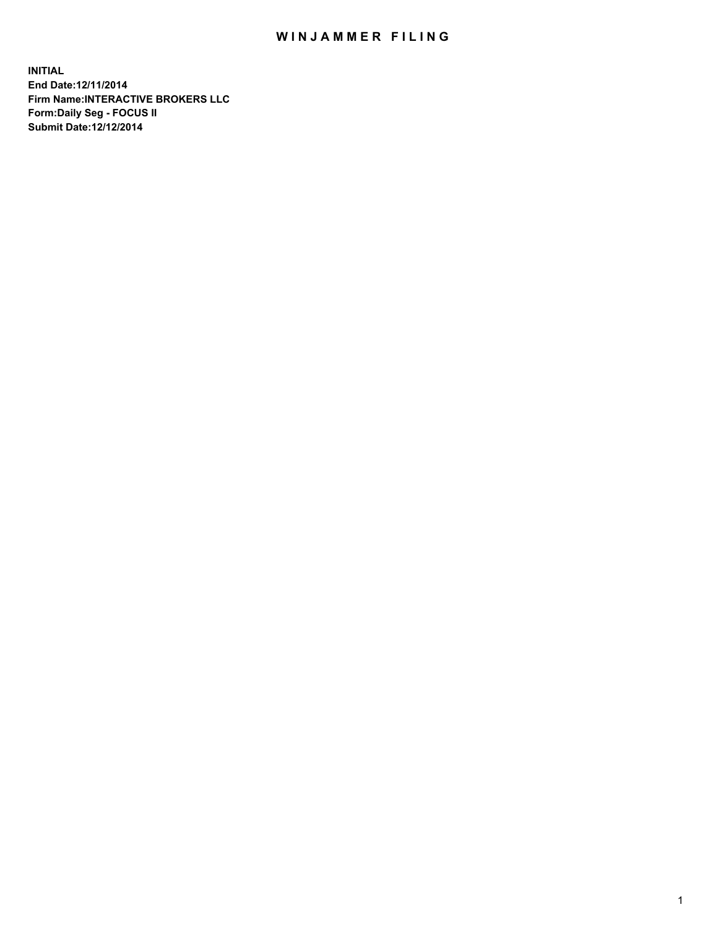## WIN JAMMER FILING

**INITIAL End Date:12/11/2014 Firm Name:INTERACTIVE BROKERS LLC Form:Daily Seg - FOCUS II Submit Date:12/12/2014**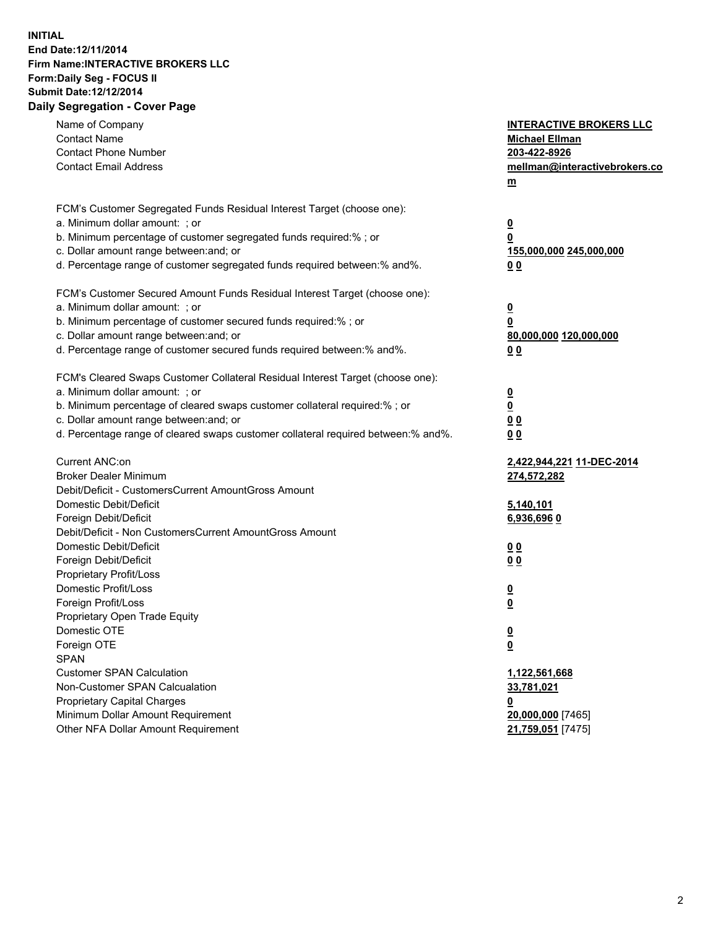## **INITIAL End Date:12/11/2014 Firm Name:INTERACTIVE BROKERS LLC Form:Daily Seg - FOCUS II Submit Date:12/12/2014 Daily Segregation - Cover Page**

| Name of Company<br><b>Contact Name</b><br><b>Contact Phone Number</b><br><b>Contact Email Address</b>                                                                                                                                                                                                                          | <b>INTERACTIVE BROKERS LLC</b><br><b>Michael Ellman</b><br>203-422-8926<br>mellman@interactivebrokers.co<br>$\underline{\mathbf{m}}$ |
|--------------------------------------------------------------------------------------------------------------------------------------------------------------------------------------------------------------------------------------------------------------------------------------------------------------------------------|--------------------------------------------------------------------------------------------------------------------------------------|
| FCM's Customer Segregated Funds Residual Interest Target (choose one):<br>a. Minimum dollar amount: ; or<br>b. Minimum percentage of customer segregated funds required:% ; or<br>c. Dollar amount range between: and; or<br>d. Percentage range of customer segregated funds required between:% and%.                         | <u>0</u><br>0<br><u>155,000,000 245,000,000</u><br>00                                                                                |
| FCM's Customer Secured Amount Funds Residual Interest Target (choose one):<br>a. Minimum dollar amount: ; or<br>b. Minimum percentage of customer secured funds required:% ; or<br>c. Dollar amount range between: and; or<br>d. Percentage range of customer secured funds required between:% and%.                           | <u>0</u><br>0<br>80,000,000 120,000,000<br>0 <sub>0</sub>                                                                            |
| FCM's Cleared Swaps Customer Collateral Residual Interest Target (choose one):<br>a. Minimum dollar amount: ; or<br>b. Minimum percentage of cleared swaps customer collateral required:% ; or<br>c. Dollar amount range between: and; or<br>d. Percentage range of cleared swaps customer collateral required between:% and%. | $\overline{\mathbf{0}}$<br>0<br>0 <sub>0</sub><br>0 <sub>0</sub>                                                                     |
| Current ANC:on<br><b>Broker Dealer Minimum</b><br>Debit/Deficit - CustomersCurrent AmountGross Amount<br>Domestic Debit/Deficit<br>Foreign Debit/Deficit                                                                                                                                                                       | 2,422,944,221 11-DEC-2014<br>274,572,282<br>5,140,101<br>6,936,696 0                                                                 |
| Debit/Deficit - Non CustomersCurrent AmountGross Amount<br>Domestic Debit/Deficit<br>Foreign Debit/Deficit<br>Proprietary Profit/Loss<br>Domestic Profit/Loss<br>Foreign Profit/Loss                                                                                                                                           | 0 <sub>0</sub><br>0 <sub>0</sub><br><u>0</u><br>$\underline{\mathbf{0}}$                                                             |
| Proprietary Open Trade Equity<br>Domestic OTE<br>Foreign OTE<br><b>SPAN</b><br><b>Customer SPAN Calculation</b><br>Non-Customer SPAN Calcualation                                                                                                                                                                              | <u>0</u><br><u>0</u><br>1,122,561,668<br>33,781,021                                                                                  |
| <b>Proprietary Capital Charges</b><br>Minimum Dollar Amount Requirement<br>Other NFA Dollar Amount Requirement                                                                                                                                                                                                                 | <u>0</u><br>20,000,000 [7465]<br>21,759,051 [7475]                                                                                   |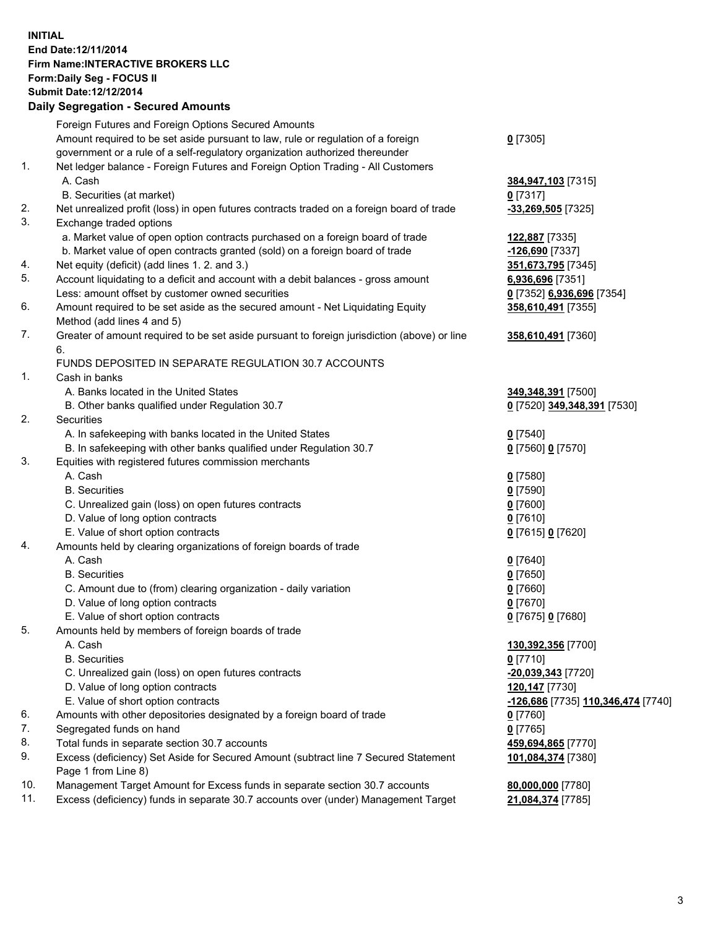## **INITIAL End Date:12/11/2014 Firm Name:INTERACTIVE BROKERS LLC Form:Daily Seg - FOCUS II Submit Date:12/12/2014 Daily Segregation - Secured Amounts**

| Foreign Futures and Foreign Options Secured Amounts                                |                                                                                                                                                                                                                                                                                                                                                                                                                                                                                                                                                                                                                                                                                                                                                                                                                                                                                                                                                                                                                                                                                                                                                                                                                                                                                                                                                                                                                                                                                                                                                                                                                                                                                                                                                                                                                                                                                                                                                |
|------------------------------------------------------------------------------------|------------------------------------------------------------------------------------------------------------------------------------------------------------------------------------------------------------------------------------------------------------------------------------------------------------------------------------------------------------------------------------------------------------------------------------------------------------------------------------------------------------------------------------------------------------------------------------------------------------------------------------------------------------------------------------------------------------------------------------------------------------------------------------------------------------------------------------------------------------------------------------------------------------------------------------------------------------------------------------------------------------------------------------------------------------------------------------------------------------------------------------------------------------------------------------------------------------------------------------------------------------------------------------------------------------------------------------------------------------------------------------------------------------------------------------------------------------------------------------------------------------------------------------------------------------------------------------------------------------------------------------------------------------------------------------------------------------------------------------------------------------------------------------------------------------------------------------------------------------------------------------------------------------------------------------------------|
| Amount required to be set aside pursuant to law, rule or regulation of a foreign   | $0$ [7305]                                                                                                                                                                                                                                                                                                                                                                                                                                                                                                                                                                                                                                                                                                                                                                                                                                                                                                                                                                                                                                                                                                                                                                                                                                                                                                                                                                                                                                                                                                                                                                                                                                                                                                                                                                                                                                                                                                                                     |
|                                                                                    |                                                                                                                                                                                                                                                                                                                                                                                                                                                                                                                                                                                                                                                                                                                                                                                                                                                                                                                                                                                                                                                                                                                                                                                                                                                                                                                                                                                                                                                                                                                                                                                                                                                                                                                                                                                                                                                                                                                                                |
|                                                                                    |                                                                                                                                                                                                                                                                                                                                                                                                                                                                                                                                                                                                                                                                                                                                                                                                                                                                                                                                                                                                                                                                                                                                                                                                                                                                                                                                                                                                                                                                                                                                                                                                                                                                                                                                                                                                                                                                                                                                                |
| A. Cash                                                                            | 384,947,103 [7315]                                                                                                                                                                                                                                                                                                                                                                                                                                                                                                                                                                                                                                                                                                                                                                                                                                                                                                                                                                                                                                                                                                                                                                                                                                                                                                                                                                                                                                                                                                                                                                                                                                                                                                                                                                                                                                                                                                                             |
| B. Securities (at market)                                                          | $0$ [7317]                                                                                                                                                                                                                                                                                                                                                                                                                                                                                                                                                                                                                                                                                                                                                                                                                                                                                                                                                                                                                                                                                                                                                                                                                                                                                                                                                                                                                                                                                                                                                                                                                                                                                                                                                                                                                                                                                                                                     |
|                                                                                    | $-33,269,505$ [7325]                                                                                                                                                                                                                                                                                                                                                                                                                                                                                                                                                                                                                                                                                                                                                                                                                                                                                                                                                                                                                                                                                                                                                                                                                                                                                                                                                                                                                                                                                                                                                                                                                                                                                                                                                                                                                                                                                                                           |
| Exchange traded options                                                            |                                                                                                                                                                                                                                                                                                                                                                                                                                                                                                                                                                                                                                                                                                                                                                                                                                                                                                                                                                                                                                                                                                                                                                                                                                                                                                                                                                                                                                                                                                                                                                                                                                                                                                                                                                                                                                                                                                                                                |
|                                                                                    | 122,887 [7335]                                                                                                                                                                                                                                                                                                                                                                                                                                                                                                                                                                                                                                                                                                                                                                                                                                                                                                                                                                                                                                                                                                                                                                                                                                                                                                                                                                                                                                                                                                                                                                                                                                                                                                                                                                                                                                                                                                                                 |
|                                                                                    | -126,690 [7337]                                                                                                                                                                                                                                                                                                                                                                                                                                                                                                                                                                                                                                                                                                                                                                                                                                                                                                                                                                                                                                                                                                                                                                                                                                                                                                                                                                                                                                                                                                                                                                                                                                                                                                                                                                                                                                                                                                                                |
|                                                                                    | 351,673,795 [7345]                                                                                                                                                                                                                                                                                                                                                                                                                                                                                                                                                                                                                                                                                                                                                                                                                                                                                                                                                                                                                                                                                                                                                                                                                                                                                                                                                                                                                                                                                                                                                                                                                                                                                                                                                                                                                                                                                                                             |
|                                                                                    | 6,936,696 [7351]                                                                                                                                                                                                                                                                                                                                                                                                                                                                                                                                                                                                                                                                                                                                                                                                                                                                                                                                                                                                                                                                                                                                                                                                                                                                                                                                                                                                                                                                                                                                                                                                                                                                                                                                                                                                                                                                                                                               |
|                                                                                    | 0 [7352] 6,936,696 [7354]                                                                                                                                                                                                                                                                                                                                                                                                                                                                                                                                                                                                                                                                                                                                                                                                                                                                                                                                                                                                                                                                                                                                                                                                                                                                                                                                                                                                                                                                                                                                                                                                                                                                                                                                                                                                                                                                                                                      |
|                                                                                    | 358,610,491 [7355]                                                                                                                                                                                                                                                                                                                                                                                                                                                                                                                                                                                                                                                                                                                                                                                                                                                                                                                                                                                                                                                                                                                                                                                                                                                                                                                                                                                                                                                                                                                                                                                                                                                                                                                                                                                                                                                                                                                             |
| Method (add lines 4 and 5)                                                         |                                                                                                                                                                                                                                                                                                                                                                                                                                                                                                                                                                                                                                                                                                                                                                                                                                                                                                                                                                                                                                                                                                                                                                                                                                                                                                                                                                                                                                                                                                                                                                                                                                                                                                                                                                                                                                                                                                                                                |
|                                                                                    | 358,610,491 [7360]                                                                                                                                                                                                                                                                                                                                                                                                                                                                                                                                                                                                                                                                                                                                                                                                                                                                                                                                                                                                                                                                                                                                                                                                                                                                                                                                                                                                                                                                                                                                                                                                                                                                                                                                                                                                                                                                                                                             |
| 6.                                                                                 |                                                                                                                                                                                                                                                                                                                                                                                                                                                                                                                                                                                                                                                                                                                                                                                                                                                                                                                                                                                                                                                                                                                                                                                                                                                                                                                                                                                                                                                                                                                                                                                                                                                                                                                                                                                                                                                                                                                                                |
| FUNDS DEPOSITED IN SEPARATE REGULATION 30.7 ACCOUNTS                               |                                                                                                                                                                                                                                                                                                                                                                                                                                                                                                                                                                                                                                                                                                                                                                                                                                                                                                                                                                                                                                                                                                                                                                                                                                                                                                                                                                                                                                                                                                                                                                                                                                                                                                                                                                                                                                                                                                                                                |
| Cash in banks                                                                      |                                                                                                                                                                                                                                                                                                                                                                                                                                                                                                                                                                                                                                                                                                                                                                                                                                                                                                                                                                                                                                                                                                                                                                                                                                                                                                                                                                                                                                                                                                                                                                                                                                                                                                                                                                                                                                                                                                                                                |
| A. Banks located in the United States                                              | 349,348,391 [7500]                                                                                                                                                                                                                                                                                                                                                                                                                                                                                                                                                                                                                                                                                                                                                                                                                                                                                                                                                                                                                                                                                                                                                                                                                                                                                                                                                                                                                                                                                                                                                                                                                                                                                                                                                                                                                                                                                                                             |
| B. Other banks qualified under Regulation 30.7                                     | 0 [7520] 349,348,391 [7530]                                                                                                                                                                                                                                                                                                                                                                                                                                                                                                                                                                                                                                                                                                                                                                                                                                                                                                                                                                                                                                                                                                                                                                                                                                                                                                                                                                                                                                                                                                                                                                                                                                                                                                                                                                                                                                                                                                                    |
| <b>Securities</b>                                                                  |                                                                                                                                                                                                                                                                                                                                                                                                                                                                                                                                                                                                                                                                                                                                                                                                                                                                                                                                                                                                                                                                                                                                                                                                                                                                                                                                                                                                                                                                                                                                                                                                                                                                                                                                                                                                                                                                                                                                                |
|                                                                                    | $0$ [7540]                                                                                                                                                                                                                                                                                                                                                                                                                                                                                                                                                                                                                                                                                                                                                                                                                                                                                                                                                                                                                                                                                                                                                                                                                                                                                                                                                                                                                                                                                                                                                                                                                                                                                                                                                                                                                                                                                                                                     |
|                                                                                    | 0 [7560] 0 [7570]                                                                                                                                                                                                                                                                                                                                                                                                                                                                                                                                                                                                                                                                                                                                                                                                                                                                                                                                                                                                                                                                                                                                                                                                                                                                                                                                                                                                                                                                                                                                                                                                                                                                                                                                                                                                                                                                                                                              |
|                                                                                    |                                                                                                                                                                                                                                                                                                                                                                                                                                                                                                                                                                                                                                                                                                                                                                                                                                                                                                                                                                                                                                                                                                                                                                                                                                                                                                                                                                                                                                                                                                                                                                                                                                                                                                                                                                                                                                                                                                                                                |
|                                                                                    | $0$ [7580]                                                                                                                                                                                                                                                                                                                                                                                                                                                                                                                                                                                                                                                                                                                                                                                                                                                                                                                                                                                                                                                                                                                                                                                                                                                                                                                                                                                                                                                                                                                                                                                                                                                                                                                                                                                                                                                                                                                                     |
|                                                                                    | $0$ [7590]                                                                                                                                                                                                                                                                                                                                                                                                                                                                                                                                                                                                                                                                                                                                                                                                                                                                                                                                                                                                                                                                                                                                                                                                                                                                                                                                                                                                                                                                                                                                                                                                                                                                                                                                                                                                                                                                                                                                     |
|                                                                                    | $0$ [7600]                                                                                                                                                                                                                                                                                                                                                                                                                                                                                                                                                                                                                                                                                                                                                                                                                                                                                                                                                                                                                                                                                                                                                                                                                                                                                                                                                                                                                                                                                                                                                                                                                                                                                                                                                                                                                                                                                                                                     |
|                                                                                    | $0$ [7610]                                                                                                                                                                                                                                                                                                                                                                                                                                                                                                                                                                                                                                                                                                                                                                                                                                                                                                                                                                                                                                                                                                                                                                                                                                                                                                                                                                                                                                                                                                                                                                                                                                                                                                                                                                                                                                                                                                                                     |
|                                                                                    | 0 [7615] 0 [7620]                                                                                                                                                                                                                                                                                                                                                                                                                                                                                                                                                                                                                                                                                                                                                                                                                                                                                                                                                                                                                                                                                                                                                                                                                                                                                                                                                                                                                                                                                                                                                                                                                                                                                                                                                                                                                                                                                                                              |
|                                                                                    |                                                                                                                                                                                                                                                                                                                                                                                                                                                                                                                                                                                                                                                                                                                                                                                                                                                                                                                                                                                                                                                                                                                                                                                                                                                                                                                                                                                                                                                                                                                                                                                                                                                                                                                                                                                                                                                                                                                                                |
|                                                                                    | $0$ [7640]                                                                                                                                                                                                                                                                                                                                                                                                                                                                                                                                                                                                                                                                                                                                                                                                                                                                                                                                                                                                                                                                                                                                                                                                                                                                                                                                                                                                                                                                                                                                                                                                                                                                                                                                                                                                                                                                                                                                     |
|                                                                                    | $0$ [7650]                                                                                                                                                                                                                                                                                                                                                                                                                                                                                                                                                                                                                                                                                                                                                                                                                                                                                                                                                                                                                                                                                                                                                                                                                                                                                                                                                                                                                                                                                                                                                                                                                                                                                                                                                                                                                                                                                                                                     |
|                                                                                    | $0$ [7660]                                                                                                                                                                                                                                                                                                                                                                                                                                                                                                                                                                                                                                                                                                                                                                                                                                                                                                                                                                                                                                                                                                                                                                                                                                                                                                                                                                                                                                                                                                                                                                                                                                                                                                                                                                                                                                                                                                                                     |
|                                                                                    | $0$ [7670]                                                                                                                                                                                                                                                                                                                                                                                                                                                                                                                                                                                                                                                                                                                                                                                                                                                                                                                                                                                                                                                                                                                                                                                                                                                                                                                                                                                                                                                                                                                                                                                                                                                                                                                                                                                                                                                                                                                                     |
|                                                                                    | 0 [7675] 0 [7680]                                                                                                                                                                                                                                                                                                                                                                                                                                                                                                                                                                                                                                                                                                                                                                                                                                                                                                                                                                                                                                                                                                                                                                                                                                                                                                                                                                                                                                                                                                                                                                                                                                                                                                                                                                                                                                                                                                                              |
|                                                                                    |                                                                                                                                                                                                                                                                                                                                                                                                                                                                                                                                                                                                                                                                                                                                                                                                                                                                                                                                                                                                                                                                                                                                                                                                                                                                                                                                                                                                                                                                                                                                                                                                                                                                                                                                                                                                                                                                                                                                                |
|                                                                                    | 130,392,356 [7700]                                                                                                                                                                                                                                                                                                                                                                                                                                                                                                                                                                                                                                                                                                                                                                                                                                                                                                                                                                                                                                                                                                                                                                                                                                                                                                                                                                                                                                                                                                                                                                                                                                                                                                                                                                                                                                                                                                                             |
|                                                                                    | $0$ [7710]                                                                                                                                                                                                                                                                                                                                                                                                                                                                                                                                                                                                                                                                                                                                                                                                                                                                                                                                                                                                                                                                                                                                                                                                                                                                                                                                                                                                                                                                                                                                                                                                                                                                                                                                                                                                                                                                                                                                     |
|                                                                                    | -20,039,343 [7720]                                                                                                                                                                                                                                                                                                                                                                                                                                                                                                                                                                                                                                                                                                                                                                                                                                                                                                                                                                                                                                                                                                                                                                                                                                                                                                                                                                                                                                                                                                                                                                                                                                                                                                                                                                                                                                                                                                                             |
|                                                                                    | 120,147 [7730]                                                                                                                                                                                                                                                                                                                                                                                                                                                                                                                                                                                                                                                                                                                                                                                                                                                                                                                                                                                                                                                                                                                                                                                                                                                                                                                                                                                                                                                                                                                                                                                                                                                                                                                                                                                                                                                                                                                                 |
|                                                                                    | -126,686 [7735] 110,346,474 [7740]                                                                                                                                                                                                                                                                                                                                                                                                                                                                                                                                                                                                                                                                                                                                                                                                                                                                                                                                                                                                                                                                                                                                                                                                                                                                                                                                                                                                                                                                                                                                                                                                                                                                                                                                                                                                                                                                                                             |
|                                                                                    | 0 [7760]                                                                                                                                                                                                                                                                                                                                                                                                                                                                                                                                                                                                                                                                                                                                                                                                                                                                                                                                                                                                                                                                                                                                                                                                                                                                                                                                                                                                                                                                                                                                                                                                                                                                                                                                                                                                                                                                                                                                       |
|                                                                                    | $0$ [7765]                                                                                                                                                                                                                                                                                                                                                                                                                                                                                                                                                                                                                                                                                                                                                                                                                                                                                                                                                                                                                                                                                                                                                                                                                                                                                                                                                                                                                                                                                                                                                                                                                                                                                                                                                                                                                                                                                                                                     |
|                                                                                    | 459,694,865 [7770]                                                                                                                                                                                                                                                                                                                                                                                                                                                                                                                                                                                                                                                                                                                                                                                                                                                                                                                                                                                                                                                                                                                                                                                                                                                                                                                                                                                                                                                                                                                                                                                                                                                                                                                                                                                                                                                                                                                             |
| Page 1 from Line 8)                                                                | 101,084,374 [7380]                                                                                                                                                                                                                                                                                                                                                                                                                                                                                                                                                                                                                                                                                                                                                                                                                                                                                                                                                                                                                                                                                                                                                                                                                                                                                                                                                                                                                                                                                                                                                                                                                                                                                                                                                                                                                                                                                                                             |
| Management Target Amount for Excess funds in separate section 30.7 accounts        | 80,000,000 [7780]                                                                                                                                                                                                                                                                                                                                                                                                                                                                                                                                                                                                                                                                                                                                                                                                                                                                                                                                                                                                                                                                                                                                                                                                                                                                                                                                                                                                                                                                                                                                                                                                                                                                                                                                                                                                                                                                                                                              |
| Excess (deficiency) funds in separate 30.7 accounts over (under) Management Target | 21,084,374 [7785]                                                                                                                                                                                                                                                                                                                                                                                                                                                                                                                                                                                                                                                                                                                                                                                                                                                                                                                                                                                                                                                                                                                                                                                                                                                                                                                                                                                                                                                                                                                                                                                                                                                                                                                                                                                                                                                                                                                              |
|                                                                                    | Dany Ocgregation - Oceanea Amounts<br>government or a rule of a self-regulatory organization authorized thereunder<br>Net ledger balance - Foreign Futures and Foreign Option Trading - All Customers<br>Net unrealized profit (loss) in open futures contracts traded on a foreign board of trade<br>a. Market value of open option contracts purchased on a foreign board of trade<br>b. Market value of open contracts granted (sold) on a foreign board of trade<br>Net equity (deficit) (add lines 1.2. and 3.)<br>Account liquidating to a deficit and account with a debit balances - gross amount<br>Less: amount offset by customer owned securities<br>Amount required to be set aside as the secured amount - Net Liquidating Equity<br>Greater of amount required to be set aside pursuant to foreign jurisdiction (above) or line<br>A. In safekeeping with banks located in the United States<br>B. In safekeeping with other banks qualified under Regulation 30.7<br>Equities with registered futures commission merchants<br>A. Cash<br><b>B.</b> Securities<br>C. Unrealized gain (loss) on open futures contracts<br>D. Value of long option contracts<br>E. Value of short option contracts<br>Amounts held by clearing organizations of foreign boards of trade<br>A. Cash<br><b>B.</b> Securities<br>C. Amount due to (from) clearing organization - daily variation<br>D. Value of long option contracts<br>E. Value of short option contracts<br>Amounts held by members of foreign boards of trade<br>A. Cash<br><b>B.</b> Securities<br>C. Unrealized gain (loss) on open futures contracts<br>D. Value of long option contracts<br>E. Value of short option contracts<br>Amounts with other depositories designated by a foreign board of trade<br>Segregated funds on hand<br>Total funds in separate section 30.7 accounts<br>Excess (deficiency) Set Aside for Secured Amount (subtract line 7 Secured Statement |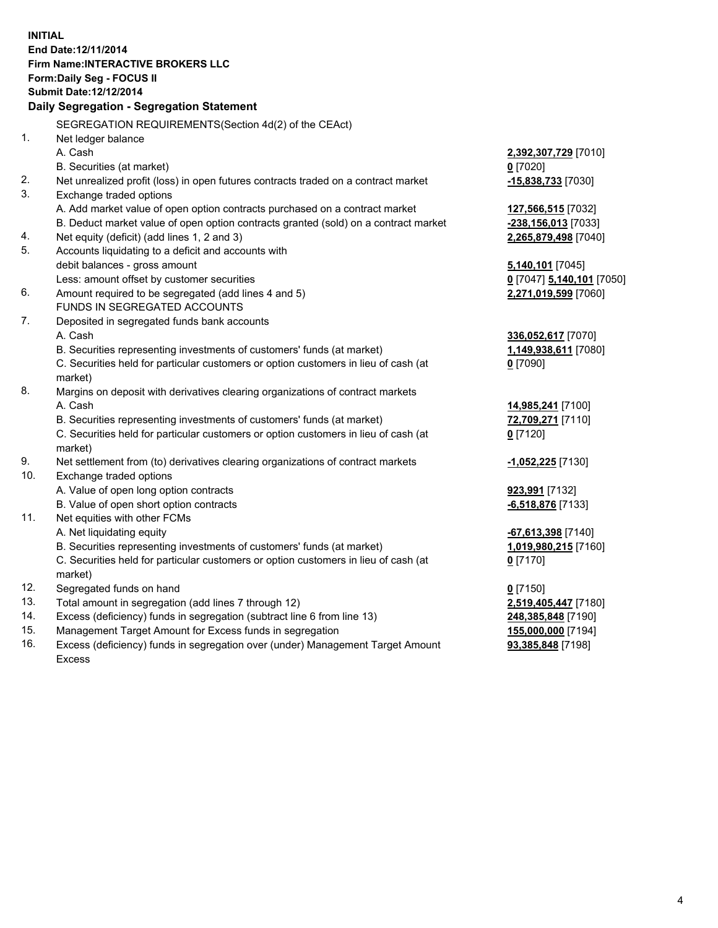**INITIAL End Date:12/11/2014 Firm Name:INTERACTIVE BROKERS LLC Form:Daily Seg - FOCUS II Submit Date:12/12/2014 Daily Segregation - Segregation Statement** SEGREGATION REQUIREMENTS(Section 4d(2) of the CEAct) 1. Net ledger balance A. Cash **2,392,307,729** [7010] B. Securities (at market) **0** [7020] 2. Net unrealized profit (loss) in open futures contracts traded on a contract market **-15,838,733** [7030] 3. Exchange traded options A. Add market value of open option contracts purchased on a contract market **127,566,515** [7032] B. Deduct market value of open option contracts granted (sold) on a contract market **-238,156,013** [7033] 4. Net equity (deficit) (add lines 1, 2 and 3) **2,265,879,498** [7040] 5. Accounts liquidating to a deficit and accounts with debit balances - gross amount **5,140,101** [7045] Less: amount offset by customer securities **0** [7047] **5,140,101** [7050] 6. Amount required to be segregated (add lines 4 and 5) **2,271,019,599** [7060] FUNDS IN SEGREGATED ACCOUNTS 7. Deposited in segregated funds bank accounts A. Cash **336,052,617** [7070] B. Securities representing investments of customers' funds (at market) **1,149,938,611** [7080] C. Securities held for particular customers or option customers in lieu of cash (at market) **0** [7090] 8. Margins on deposit with derivatives clearing organizations of contract markets A. Cash **14,985,241** [7100] B. Securities representing investments of customers' funds (at market) **72,709,271** [7110] C. Securities held for particular customers or option customers in lieu of cash (at market) **0** [7120] 9. Net settlement from (to) derivatives clearing organizations of contract markets **-1,052,225** [7130] 10. Exchange traded options A. Value of open long option contracts **923,991** [7132] B. Value of open short option contracts **-6,518,876** [7133] 11. Net equities with other FCMs A. Net liquidating equity **-67,613,398** [7140] B. Securities representing investments of customers' funds (at market) **1,019,980,215** [7160] C. Securities held for particular customers or option customers in lieu of cash (at market) **0** [7170] 12. Segregated funds on hand **0** [7150] 13. Total amount in segregation (add lines 7 through 12) **2,519,405,447** [7180] 14. Excess (deficiency) funds in segregation (subtract line 6 from line 13) **248,385,848** [7190] 15. Management Target Amount for Excess funds in segregation **155,000,000** [7194]

16. Excess (deficiency) funds in segregation over (under) Management Target Amount Excess

**93,385,848** [7198]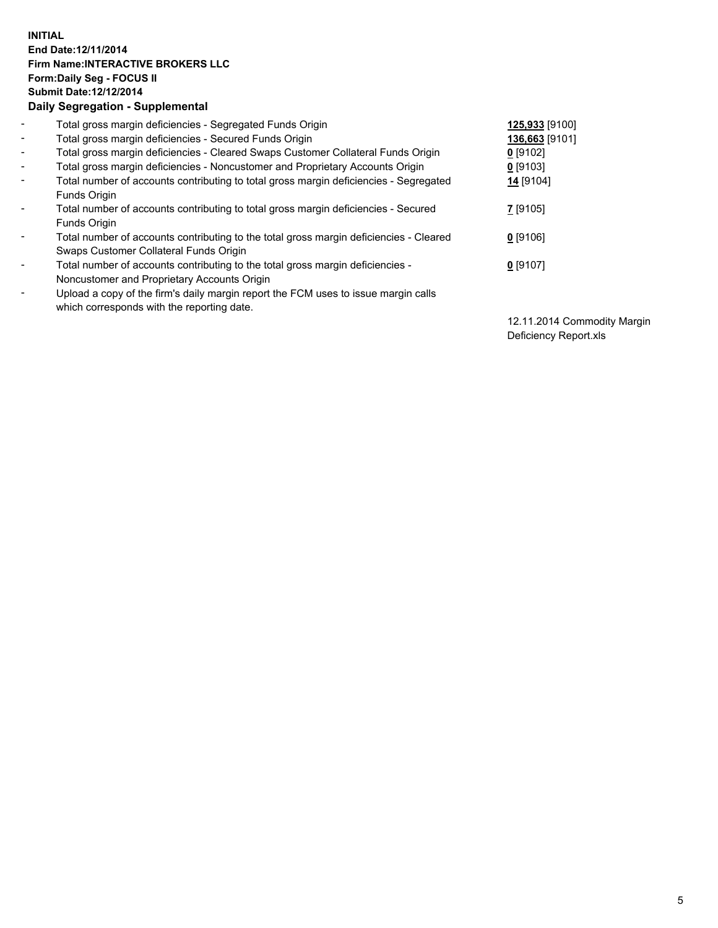## **INITIAL End Date:12/11/2014 Firm Name:INTERACTIVE BROKERS LLC Form:Daily Seg - FOCUS II Submit Date:12/12/2014 Daily Segregation - Supplemental**

| $\blacksquare$ | Total gross margin deficiencies - Segregated Funds Origin                              | 125,933 [9100] |
|----------------|----------------------------------------------------------------------------------------|----------------|
| $\blacksquare$ | Total gross margin deficiencies - Secured Funds Origin                                 | 136,663 [9101] |
| $\blacksquare$ | Total gross margin deficiencies - Cleared Swaps Customer Collateral Funds Origin       | $0$ [9102]     |
| $\blacksquare$ | Total gross margin deficiencies - Noncustomer and Proprietary Accounts Origin          | $0$ [9103]     |
| $\blacksquare$ | Total number of accounts contributing to total gross margin deficiencies - Segregated  | 14 [9104]      |
|                | Funds Origin                                                                           |                |
| $\blacksquare$ | Total number of accounts contributing to total gross margin deficiencies - Secured     | 7 [9105]       |
|                | Funds Origin                                                                           |                |
| Ξ.             | Total number of accounts contributing to the total gross margin deficiencies - Cleared | $0$ [9106]     |
|                | Swaps Customer Collateral Funds Origin                                                 |                |
| -              | Total number of accounts contributing to the total gross margin deficiencies -         | $0$ [9107]     |
|                | Noncustomer and Proprietary Accounts Origin                                            |                |
| -              | Upload a copy of the firm's daily margin report the FCM uses to issue margin calls     |                |
|                | which corresponds with the reporting date.                                             |                |

12.11.2014 Commodity Margin Deficiency Report.xls